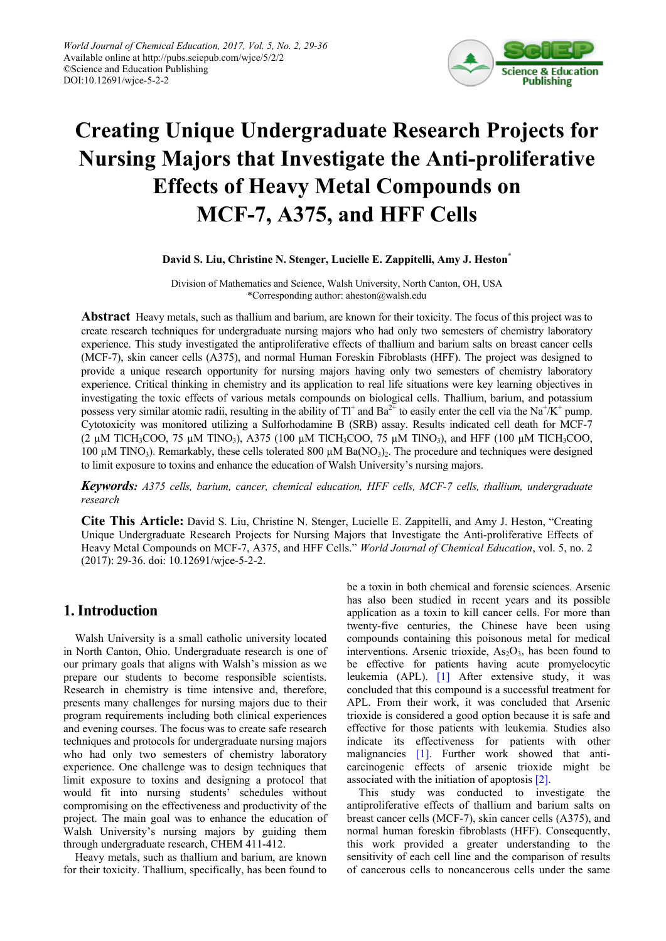

# **Creating Unique Undergraduate Research Projects for Nursing Majors that Investigate the Anti-proliferative Effects of Heavy Metal Compounds on MCF-7, A375, and HFF Cells**

#### **David S. Liu, Christine N. Stenger, Lucielle E. Zappitelli, Amy J. Heston\***

Division of Mathematics and Science, Walsh University, North Canton, OH, USA \*Corresponding author: aheston@walsh.edu

**Abstract** Heavy metals, such as thallium and barium, are known for their toxicity. The focus of this project was to create research techniques for undergraduate nursing majors who had only two semesters of chemistry laboratory experience. This study investigated the antiproliferative effects of thallium and barium salts on breast cancer cells (MCF-7), skin cancer cells (A375), and normal Human Foreskin Fibroblasts (HFF). The project was designed to provide a unique research opportunity for nursing majors having only two semesters of chemistry laboratory experience. Critical thinking in chemistry and its application to real life situations were key learning objectives in investigating the toxic effects of various metals compounds on biological cells. Thallium, barium, and potassium possess very similar atomic radii, resulting in the ability of  $TI^+$  and  $Ba^{2+}$  to easily enter the cell via the Na<sup>+</sup>/K<sup>+</sup> pump. Cytotoxicity was monitored utilizing a Sulforhodamine B (SRB) assay. Results indicated cell death for MCF-7 (2  $\mu$ M TlCH<sub>3</sub>COO, 75  $\mu$ M TlNO<sub>3</sub>), A375 (100  $\mu$ M TlCH<sub>3</sub>COO, 75  $\mu$ M TlNO<sub>3</sub>), and HFF (100  $\mu$ M TlCH<sub>3</sub>COO, 100  $\mu$ M TlNO<sub>3</sub>). Remarkably, these cells tolerated 800  $\mu$ M Ba(NO<sub>3</sub>)<sub>2</sub>. The procedure and techniques were designed to limit exposure to toxins and enhance the education of Walsh University's nursing majors.

*Keywords: A375 cells, barium, cancer, chemical education, HFF cells, MCF-7 cells, thallium, undergraduate research*

**Cite This Article:** David S. Liu, Christine N. Stenger, Lucielle E. Zappitelli, and Amy J. Heston, "Creating Unique Undergraduate Research Projects for Nursing Majors that Investigate the Anti-proliferative Effects of Heavy Metal Compounds on MCF-7, A375, and HFF Cells." *World Journal of Chemical Education*, vol. 5, no. 2 (2017): 29-36. doi: 10.12691/wjce-5-2-2.

# **1. Introduction**

Walsh University is a small catholic university located in North Canton, Ohio. Undergraduate research is one of our primary goals that aligns with Walsh's mission as we prepare our students to become responsible scientists. Research in chemistry is time intensive and, therefore, presents many challenges for nursing majors due to their program requirements including both clinical experiences and evening courses. The focus was to create safe research techniques and protocols for undergraduate nursing majors who had only two semesters of chemistry laboratory experience. One challenge was to design techniques that limit exposure to toxins and designing a protocol that would fit into nursing students' schedules without compromising on the effectiveness and productivity of the project. The main goal was to enhance the education of Walsh University's nursing majors by guiding them through undergraduate research, CHEM 411-412.

Heavy metals, such as thallium and barium, are known for their toxicity. Thallium, specifically, has been found to be a toxin in both chemical and forensic sciences. Arsenic has also been studied in recent years and its possible application as a toxin to kill cancer cells. For more than twenty-five centuries, the Chinese have been using compounds containing this poisonous metal for medical interventions. Arsenic trioxide,  $As<sub>2</sub>O<sub>3</sub>$ , has been found to be effective for patients having acute promyelocytic leukemia (APL). [\[1\]](#page-6-0) After extensive study, it was concluded that this compound is a successful treatment for APL. From their work, it was concluded that Arsenic trioxide is considered a good option because it is safe and effective for those patients with leukemia. Studies also indicate its effectiveness for patients with other malignancies [\[1\].](#page-6-0) Further work showed that anticarcinogenic effects of arsenic trioxide might be associated with the initiation of apoptosis [\[2\].](#page-6-1)

This study was conducted to investigate the antiproliferative effects of thallium and barium salts on breast cancer cells (MCF-7), skin cancer cells (A375), and normal human foreskin fibroblasts (HFF). Consequently, this work provided a greater understanding to the sensitivity of each cell line and the comparison of results of cancerous cells to noncancerous cells under the same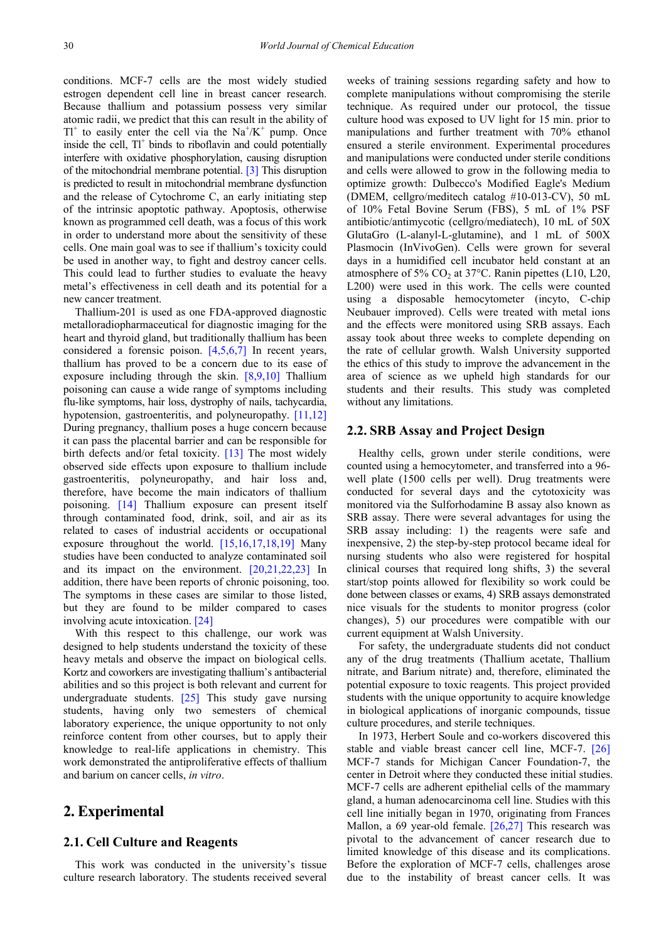conditions. MCF-7 cells are the most widely studied estrogen dependent cell line in breast cancer research. Because thallium and potassium possess very similar atomic radii, we predict that this can result in the ability of  $TI^{+}$  to easily enter the cell via the Na<sup>+</sup>/K<sup>+</sup> pump. Once inside the cell,  $TI^+$  binds to riboflavin and could potentially interfere with oxidative phosphorylation, causing disruption of the mitochondrial membrane potential. [\[3\]](#page-6-2) This disruption is predicted to result in mitochondrial membrane dysfunction and the release of Cytochrome C, an early initiating step of the intrinsic apoptotic pathway. Apoptosis, otherwise known as programmed cell death, was a focus of this work in order to understand more about the sensitivity of these cells. One main goal was to see if thallium's toxicity could be used in another way, to fight and destroy cancer cells. This could lead to further studies to evaluate the heavy metal's effectiveness in cell death and its potential for a new cancer treatment.

Thallium-201 is used as one FDA-approved diagnostic metalloradiopharmaceutical for diagnostic imaging for the heart and thyroid gland, but traditionally thallium has been considered a forensic poison. [\[4,5,6,7\]](#page-6-3) In recent years, thallium has proved to be a concern due to its ease of exposure including through the skin. [\[8,9,10\]](#page-6-4) Thallium poisoning can cause a wide range of symptoms including flu-like symptoms, hair loss, dystrophy of nails, tachycardia, hypotension, gastroenteritis, and polyneuropathy. [\[11,12\]](#page-6-5) During pregnancy, thallium poses a huge concern because it can pass the placental barrier and can be responsible for birth defects and/or fetal toxicity.  $[13]$  The most widely observed side effects upon exposure to thallium include gastroenteritis, polyneuropathy, and hair loss and, therefore, have become the main indicators of thallium poisoning. [\[14\]](#page-6-7) Thallium exposure can present itself through contaminated food, drink, soil, and air as its related to cases of industrial accidents or occupational exposure throughout the world. [\[15,16,17,18,19\]](#page-6-8) Many studies have been conducted to analyze contaminated soil and its impact on the environment. [\[20,21,22,23\]](#page-6-9) In addition, there have been reports of chronic poisoning, too. The symptoms in these cases are similar to those listed, but they are found to be milder compared to cases involving acute intoxication. [\[24\]](#page-7-0)

With this respect to this challenge, our work was designed to help students understand the toxicity of these heavy metals and observe the impact on biological cells. Kortz and coworkers are investigating thallium's antibacterial abilities and so this project is both relevant and current for undergraduate students. [\[25\]](#page-7-1) This study gave nursing students, having only two semesters of chemical laboratory experience, the unique opportunity to not only reinforce content from other courses, but to apply their knowledge to real-life applications in chemistry. This work demonstrated the antiproliferative effects of thallium and barium on cancer cells, *in vitro*.

# **2. Experimental**

#### **2.1. Cell Culture and Reagents**

This work was conducted in the university's tissue culture research laboratory. The students received several weeks of training sessions regarding safety and how to complete manipulations without compromising the sterile technique. As required under our protocol, the tissue culture hood was exposed to UV light for 15 min. prior to manipulations and further treatment with 70% ethanol ensured a sterile environment. Experimental procedures and manipulations were conducted under sterile conditions and cells were allowed to grow in the following media to optimize growth: Dulbecco's Modified Eagle's Medium (DMEM, cellgro/meditech catalog #10-013-CV), 50 mL of 10% Fetal Bovine Serum (FBS), 5 mL of 1% PSF antibiotic/antimycotic (cellgro/mediatech), 10 mL of 50X GlutaGro (L-alanyl-L-glutamine), and 1 mL of 500X Plasmocin (InVivoGen). Cells were grown for several days in a humidified cell incubator held constant at an atmosphere of 5%  $CO<sub>2</sub>$  at 37°C. Ranin pipettes (L10, L20, L200) were used in this work. The cells were counted using a disposable hemocytometer (incyto, C-chip Neubauer improved). Cells were treated with metal ions and the effects were monitored using SRB assays. Each assay took about three weeks to complete depending on the rate of cellular growth. Walsh University supported the ethics of this study to improve the advancement in the area of science as we upheld high standards for our students and their results. This study was completed without any limitations.

#### **2.2. SRB Assay and Project Design**

Healthy cells, grown under sterile conditions, were counted using a hemocytometer, and transferred into a 96 well plate (1500 cells per well). Drug treatments were conducted for several days and the cytotoxicity was monitored via the Sulforhodamine B assay also known as SRB assay. There were several advantages for using the SRB assay including: 1) the reagents were safe and inexpensive, 2) the step-by-step protocol became ideal for nursing students who also were registered for hospital clinical courses that required long shifts, 3) the several start/stop points allowed for flexibility so work could be done between classes or exams, 4) SRB assays demonstrated nice visuals for the students to monitor progress (color changes), 5) our procedures were compatible with our current equipment at Walsh University.

For safety, the undergraduate students did not conduct any of the drug treatments (Thallium acetate, Thallium nitrate, and Barium nitrate) and, therefore, eliminated the potential exposure to toxic reagents. This project provided students with the unique opportunity to acquire knowledge in biological applications of inorganic compounds, tissue culture procedures, and sterile techniques.

In 1973, Herbert Soule and co-workers discovered this stable and viable breast cancer cell line, MCF-7. [\[26\]](#page-7-2) MCF-7 stands for Michigan Cancer Foundation-7, the center in Detroit where they conducted these initial studies. MCF-7 cells are adherent epithelial cells of the mammary gland, a human adenocarcinoma cell line. Studies with this cell line initially began in 1970, originating from Frances Mallon, a 69 year-old female. [\[26,27\]](#page-7-2) This research was pivotal to the advancement of cancer research due to limited knowledge of this disease and its complications. Before the exploration of MCF-7 cells, challenges arose due to the instability of breast cancer cells. It was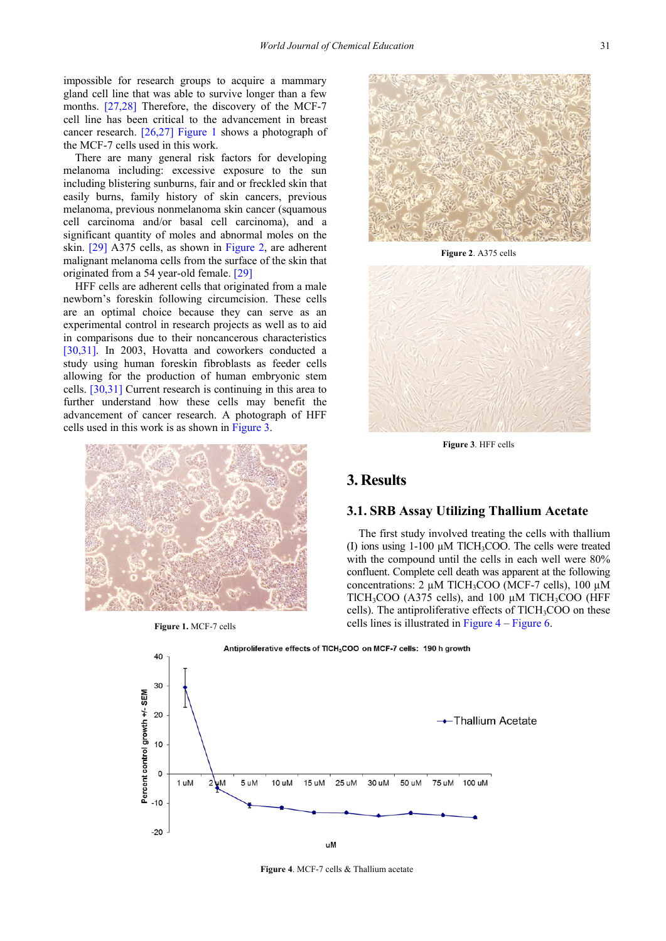impossible for research groups to acquire a mammary gland cell line that was able to survive longer than a few months. [\[27,28\]](#page-7-3) Therefore, the discovery of the MCF-7 cell line has been critical to the advancement in breast cancer research. [\[26,27\]](#page-7-2) [Figure 1](#page-2-0) shows a photograph of the MCF-7 cells used in this work.

There are many general risk factors for developing melanoma including: excessive exposure to the sun including blistering sunburns, fair and or freckled skin that easily burns, family history of skin cancers, previous melanoma, previous nonmelanoma skin cancer (squamous cell carcinoma and/or basal cell carcinoma), and a significant quantity of moles and abnormal moles on the skin. [\[29\]](#page-7-4) A375 cells, as shown in [Figure 2,](#page-2-1) are adherent malignant melanoma cells from the surface of the skin that originated from a 54 year-old female. [\[29\]](#page-7-4)

HFF cells are adherent cells that originated from a male newborn's foreskin following circumcision. These cells are an optimal choice because they can serve as an experimental control in research projects as well as to aid in comparisons due to their noncancerous characteristics [\[30,31\].](#page-7-5) In 2003, Hovatta and coworkers conducted a study using human foreskin fibroblasts as feeder cells allowing for the production of human embryonic stem cells. [\[30,31\]](#page-7-5) Current research is continuing in this area to further understand how these cells may benefit the advancement of cancer research. A photograph of HFF cells used in this work is as shown i[n Figure 3.](#page-2-2)

<span id="page-2-0"></span>

**Figure 1.** MCF-7 cells

<span id="page-2-1"></span>

**Figure 2**. A375 cells

<span id="page-2-2"></span>

**Figure 3**. HFF cells

# **3. Results**

## **3.1. SRB Assay Utilizing Thallium Acetate**

The first study involved treating the cells with thallium (I) ions using 1-100 µM TlCH3COO. The cells were treated with the compound until the cells in each well were 80% confluent. Complete cell death was apparent at the following concentrations:  $2 \mu M$  TlCH<sub>3</sub>COO (MCF-7 cells), 100  $\mu$ M TlCH<sub>3</sub>COO (A375 cells), and 100  $\mu$ M TlCH<sub>3</sub>COO (HFF cells). The antiproliferative effects of TlCH<sub>3</sub>COO on these cells lines is illustrated in [Figure 4](#page-2-3) – [Figure 6.](#page-3-0)

<span id="page-2-3"></span>

**Figure 4**. MCF-7 cells & Thallium acetate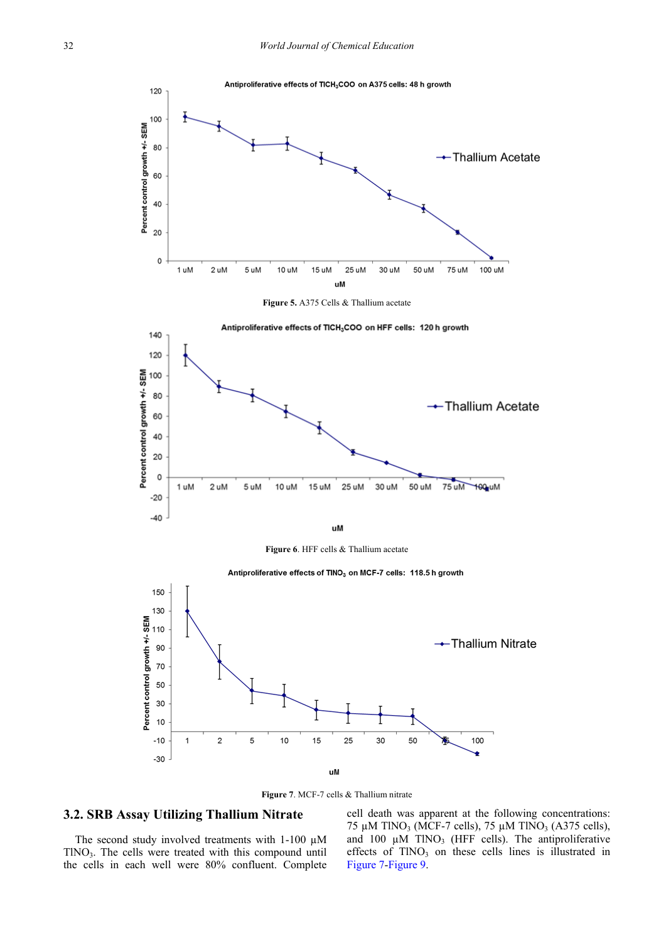<span id="page-3-0"></span>

**Figure 7**. MCF-7 cells & Thallium nitrate

#### <span id="page-3-1"></span>**3.2. SRB Assay Utilizing Thallium Nitrate**

The second study involved treatments with  $1-100 \mu M$  $TINO<sub>3</sub>$ . The cells were treated with this compound until the cells in each well were 80% confluent. Complete cell death was apparent at the following concentrations: 75 µM TlNO<sub>3</sub> (MCF-7 cells), 75 µM TlNO<sub>3</sub> (A375 cells), and 100  $\mu$ M TlNO<sub>3</sub> (HFF cells). The antiproliferative effects of  $TINO_3$  on these cells lines is illustrated in [Figure 7](#page-3-1)[-Figure 9.](#page-4-0)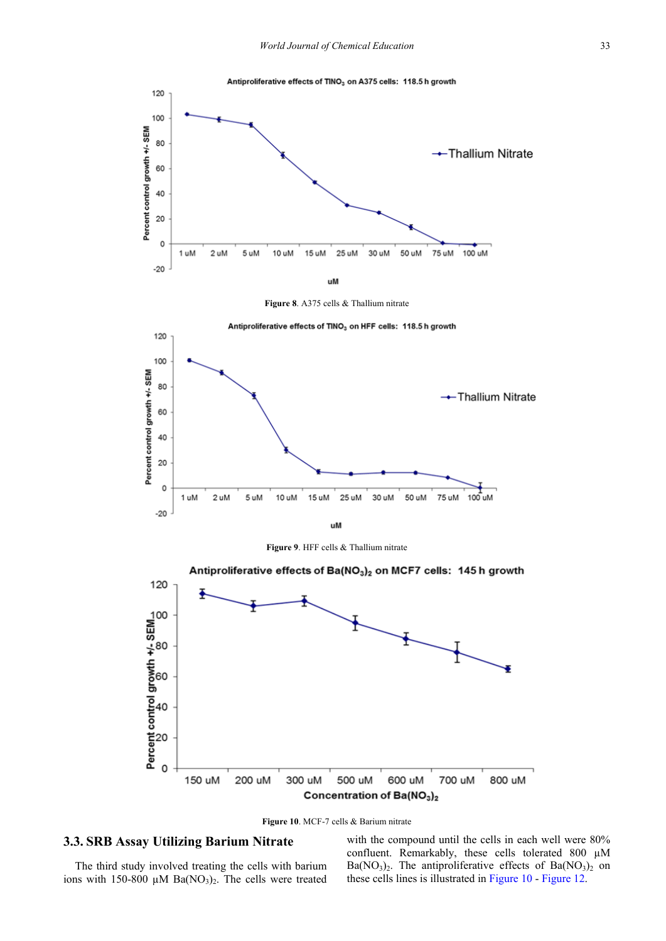



<span id="page-4-0"></span>

**Figure 9**. HFF cells & Thallium nitrate

<span id="page-4-1"></span>



#### **3.3. SRB Assay Utilizing Barium Nitrate**

The third study involved treating the cells with barium ions with 150-800  $\mu$ M Ba(NO<sub>3</sub>)<sub>2</sub>. The cells were treated

with the compound until the cells in each well were  $80\%$ confluent. Remarkably, these cells tolerated 800 µM  $Ba(NO<sub>3</sub>)<sub>2</sub>$ . The antiproliferative effects of Ba $(NO<sub>3</sub>)<sub>2</sub>$  on these cells lines is illustrated in [Figure 10](#page-4-1) - [Figure 12.](#page-5-0)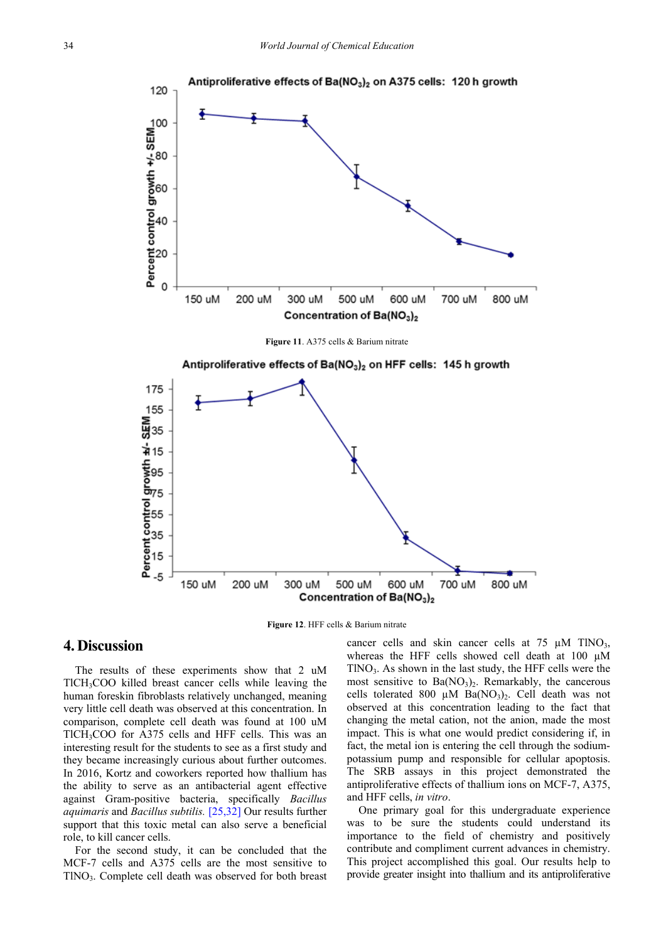

**Figure 11**. A375 cells & Barium nitrate

<span id="page-5-0"></span>

**Figure 12**. HFF cells & Barium nitrate

#### **4. Discussion**

The results of these experiments show that 2 uM TlCH3COO killed breast cancer cells while leaving the human foreskin fibroblasts relatively unchanged, meaning very little cell death was observed at this concentration. In comparison, complete cell death was found at 100 uM TlCH<sub>3</sub>COO for A375 cells and HFF cells. This was an interesting result for the students to see as a first study and they became increasingly curious about further outcomes. In 2016, Kortz and coworkers reported how thallium has the ability to serve as an antibacterial agent effective against Gram-positive bacteria, specifically *Bacillus aquimaris* and *Bacillus subtilis.* [\[25,32\]](#page-7-1) Our results further support that this toxic metal can also serve a beneficial role, to kill cancer cells.

For the second study, it can be concluded that the MCF-7 cells and A375 cells are the most sensitive to TlNO3. Complete cell death was observed for both breast cancer cells and skin cancer cells at  $75 \mu M$  TlNO<sub>3</sub>, whereas the HFF cells showed cell death at 100  $\mu$ M  $TINO<sub>3</sub>$ . As shown in the last study, the HFF cells were the most sensitive to  $Ba(NO<sub>3</sub>)<sub>2</sub>$ . Remarkably, the cancerous cells tolerated 800  $\mu$ M Ba(NO<sub>3</sub>)<sub>2</sub>. Cell death was not observed at this concentration leading to the fact that changing the metal cation, not the anion, made the most impact. This is what one would predict considering if, in fact, the metal ion is entering the cell through the sodiumpotassium pump and responsible for cellular apoptosis. The SRB assays in this project demonstrated the antiproliferative effects of thallium ions on MCF-7, A375, and HFF cells, *in vitro*.

One primary goal for this undergraduate experience was to be sure the students could understand its importance to the field of chemistry and positively contribute and compliment current advances in chemistry. This project accomplished this goal. Our results help to provide greater insight into thallium and its antiproliferative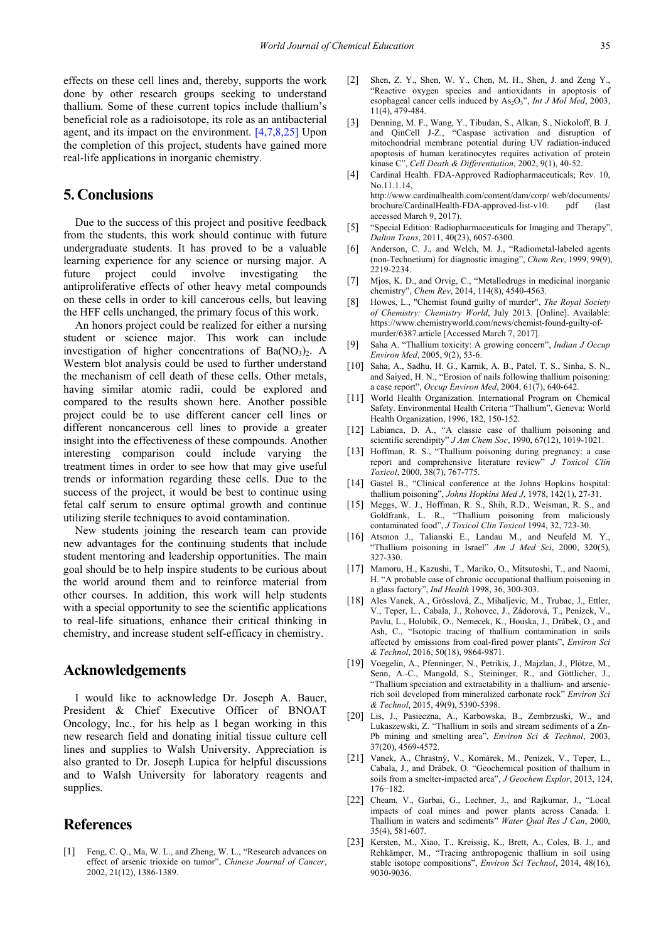effects on these cell lines and, thereby, supports the work done by other research groups seeking to understand thallium. Some of these current topics include thallium's beneficial role as a radioisotope, its role as an antibacterial agent, and its impact on the environment. [\[4,7,8,25\]](#page-6-3) Upon the completion of this project, students have gained more real-life applications in inorganic chemistry.

# **5. Conclusions**

Due to the success of this project and positive feedback from the students, this work should continue with future undergraduate students. It has proved to be a valuable learning experience for any science or nursing major. A future project could involve investigating the antiproliferative effects of other heavy metal compounds on these cells in order to kill cancerous cells, but leaving the HFF cells unchanged, the primary focus of this work.

An honors project could be realized for either a nursing student or science major. This work can include investigation of higher concentrations of Ba $(NO<sub>3</sub>)<sub>2</sub>$ . A Western blot analysis could be used to further understand the mechanism of cell death of these cells. Other metals, having similar atomic radii, could be explored and compared to the results shown here. Another possible project could be to use different cancer cell lines or different noncancerous cell lines to provide a greater insight into the effectiveness of these compounds. Another interesting comparison could include varying the treatment times in order to see how that may give useful trends or information regarding these cells. Due to the success of the project, it would be best to continue using fetal calf serum to ensure optimal growth and continue utilizing sterile techniques to avoid contamination.

New students joining the research team can provide new advantages for the continuing students that include student mentoring and leadership opportunities. The main goal should be to help inspire students to be curious about the world around them and to reinforce material from other courses. In addition, this work will help students with a special opportunity to see the scientific applications to real-life situations, enhance their critical thinking in chemistry, and increase student self-efficacy in chemistry.

#### **Acknowledgements**

I would like to acknowledge Dr. Joseph A. Bauer, President & Chief Executive Officer of BNOAT Oncology, Inc., for his help as I began working in this new research field and donating initial tissue culture cell lines and supplies to Walsh University. Appreciation is also granted to Dr. Joseph Lupica for helpful discussions and to Walsh University for laboratory reagents and supplies.

## **References**

<span id="page-6-0"></span>[1] Feng, C. Q., Ma, W. L., and Zheng, W. L., "Research advances on effect of arsenic trioxide on tumor", *Chinese Journal of Cancer*, 2002, 21(12), 1386-1389.

- <span id="page-6-1"></span>[2] Shen, Z. Y., Shen, W. Y., Chen, M. H., Shen, J. and Zeng Y., "Reactive oxygen species and antioxidants in apoptosis of esophageal cancer cells induced by As<sub>2</sub>O<sub>3</sub>", *Int J Mol Med*, 2003, 11(4), 479-484.
- <span id="page-6-2"></span>[3] Denning, M. F., Wang, Y., Tibudan, S., Alkan, S., Nickoloff, B. J. and QinCell J-Z., "Caspase activation and disruption of mitochondrial membrane potential during UV radiation-induced apoptosis of human keratinocytes requires activation of protein kinase C", *Cell Death & Differentiation*, 2002, 9(1), 40-52.
- <span id="page-6-3"></span>[4] Cardinal Health. FDA-Approved Radiopharmaceuticals; Rev. 10, No.11.1.14, http://www.cardinalhealth.com/content/dam/corp/ web/documents/ brochure/CardinalHealth-FDA-approved-list-v10. pdf (last accessed March 9, 2017).
- [5] "Special Edition: Radiopharmaceuticals for Imaging and Therapy", *Dalton Trans*, 2011, 40(23), 6057-6300.
- [6] Anderson, C. J., and Welch, M. J., "Radiometal-labeled agents (non-Technetium) for diagnostic imaging", *Chem Rev*, 1999, 99(9), 2219-2234.
- [7] Mjos, K. D., and Orvig, C., "Metallodrugs in medicinal inorganic chemistry", *Chem Rev*, 2014, 114(8), 4540-4563.
- <span id="page-6-4"></span>[8] Howes, L., "Chemist found guilty of murder", *The Royal Society of Chemistry: Chemistry World*, July 2013. [Online]. Available: https://www.chemistryworld.com/news/chemist-found-guilty-ofmurder/6387.article [Accessed March 7, 2017].
- Saha A. "Thallium toxicity: A growing concern", *Indian J Occup Environ Med*, 2005, 9(2), 53-6.
- [10] Saha, A., Sadhu, H. G., Karnik, A. B., Patel, T. S., Sinha, S. N., and Saiyed, H. N., "Erosion of nails following thallium poisoning: a case report", *Occup Environ Med*, 2004, 61(7), 640-642.
- <span id="page-6-5"></span>[11] World Health Organization. International Program on Chemical Safety. Environmental Health Criteria "Thallium", Geneva: World Health Organization, 1996, 182, 150-152.
- [12] Labianca, D. A., "A classic case of thallium poisoning and scientific serendipity" *J Am Chem Soc*, 1990, 67(12), 1019-1021.
- <span id="page-6-6"></span>[13] Hoffman, R. S., "Thallium poisoning during pregnancy: a case report and comprehensive literature review" *J Toxicol Clin Toxicol*, 2000, 38(7), 767-775.
- <span id="page-6-7"></span>[14] Gastel B., "Clinical conference at the Johns Hopkins hospital: thallium poisoning", *Johns Hopkins Med J*, 1978, 142(1), 27-31.
- <span id="page-6-8"></span>[15] Meggs, W. J., Hoffman, R. S., Shih, R.D., Weisman, R. S., and Goldfrank, L. R., "Thallium poisoning from maliciously contaminated food", *J Toxicol Clin Toxicol* 1994, 32, 723-30.
- [16] Atsmon J., Talianski E., Landau M., and Neufeld M. Y., "Thallium poisoning in Israel" *Am J Med Sci*, 2000, 320(5), 327-330.
- [17] Mamoru, H., Kazushi, T., Mariko, O., Mitsutoshi, T., and Naomi, H. "A probable case of chronic occupational thallium poisoning in a glass factory", *Ind Health* 1998, 36, 300-303.
- [18] Ales Vanek, A., Grösslová, Z., Mihaljevic, M., Trubac, J., Ettler, V., Teper, L., Cabala, J., Rohovec, J., Zádorová, T., Penízek, V., Pavlu, L., Holubík, O., Nemecek, K., Houska, J., Drábek, O., and Ash, C., "Isotopic tracing of thallium contamination in soils affected by emissions from coal-fired power plants", *Environ Sci & Technol*, 2016, 50(18), 9864-9871.
- [19] Voegelin, A., Pfenninger, N., Petrikis, J., Majzlan, J., Plötze, M., Senn, A.-C., Mangold, S., Steininger, R., and Göttlicher, J., "Thallium speciation and extractability in a thallium- and arsenicrich soil developed from mineralized carbonate rock" *Environ Sci & Technol*, 2015, 49(9), 5390-5398.
- <span id="page-6-9"></span>[20] Lis, J., Pasieczna, A., Karbowska, B., Zembrzuski, W., and Lukaszewski, Z. "Thallium in soils and stream sediments of a Zn-Pb mining and smelting area", *Environ Sci & Technol*, 2003, 37(20), 4569-4572.
- [21] Vanek, A., Chrastný, V., Komárek, M., Penízek, V., Teper, L., Cabala, J., and Drábek, O. "Geochemical position of thallium in soils from a smelter-impacted area", *J Geochem Explor*, 2013, 124, 176−182.
- [22] Cheam, V., Garbai, G., Lechner, J., and Rajkumar, J., "Local impacts of coal mines and power plants across Canada. I. Thallium in waters and sediments" *Water Qual Res J Can*, 2000, 35(4), 581-607.
- [23] Kersten, M., Xiao, T., Kreissig, K., Brett, A., Coles, B. J., and Rehkämper, M., "Tracing anthropogenic thallium in soil using stable isotope compositions", *Environ Sci Technol*, 2014, 48(16), 9030-9036.